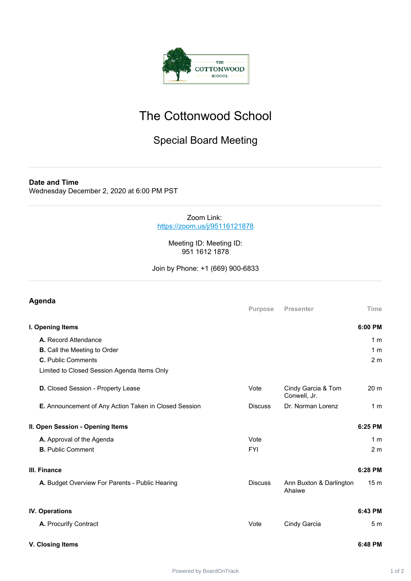

## The Cottonwood School

## Special Board Meeting

**Date and Time** Wednesday December 2, 2020 at 6:00 PM PST

> Zoom Link: <https://zoom.us/j/95116121878>

> > Meeting ID: Meeting ID: 951 1612 1878

Join by Phone: +1 (669) 900-6833

## **Agenda Purpose Presenter Time I. Opening Items 6:00 PM A.** Record Attendance 1 m **B.** Call the Meeting to Order 1 m **C.** Public Comments 2 m Limited to Closed Session Agenda Items Only **D.** Closed Session - Property Lease Vote Vote Cindy Garcia & Tom Conwell, Jr. 20 m **E.** Announcement of Any Action Taken in Closed Session Discuss Dr. Norman Lorenz 1 m **II. Open Session - Opening Items 6:25 PM A.** Approval of the Agenda **A.** Approval of the Agenda Vote **1 m B.** Public Comment 2 m **III. Finance 6:28 PM A.** Budget Overview For Parents - Public Hearing Discuss Ann Buxton & Darlington Ahaiwe 15 m **IV. Operations 6:43 PM A.** Procurify Contract 6 19 and 19 and 19 and 19 and 19 and 19 and 19 and 19 and 19 and 19 and 19 and 19 and 19 and 19 and 19 and 19 and 19 and 19 and 19 and 19 and 19 and 19 and 19 and 19 and 19 and 19 and 19 and 19 and **V. Closing Items 6:48 PM**